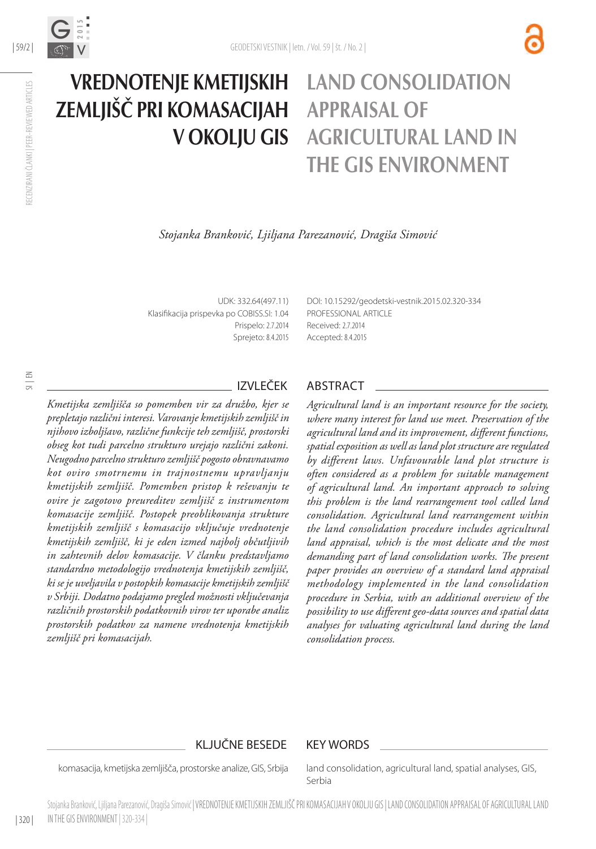

# Vrednotenje kmetijskih zemljišč pri komasacijah v okolju GIS Land consolidation appraisal of agricultural land in the GIS environment

*Stojanka Branković, Ljiljana Parezanović, Dragiša Simović*

UDK: 332.64(497.11) Klasifikacija prispevka po COBISS.SI: 1.04 Prispelo: 2.7.2014 Sprejeto: 8.4.2015 DOI: [10.15292/geodetski-vestnik.2015.02.320-334](http://dx.doi.org/10.15292/geodetski-vestnik.2015.02.320-334) PROFESSIONAL ARTICLE Received: 2.7.2014 Accepted: 8.4.2015

*Kmetijska zemljišča so pomemben vir za družbo, kjer se prepletajo različni interesi. Varovanje kmetijskih zemljišč in njihovo izboljšavo, različne funkcije teh zemljišč, prostorski obseg kot tudi parcelno strukturo urejajo različni zakoni. Neugodno parcelno strukturo zemljišč pogosto obravnavamo kot oviro smotrnemu in trajnostnemu upravljanju kmetijskih zemljišč. Pomemben pristop k reševanju te ovire je zagotovo preureditev zemljišč z instrumentom komasacije zemljišč. Postopek preoblikovanja strukture kmetijskih zemljišč s komasacijo vključuje vrednotenje kmetijskih zemljišč, ki je eden izmed najbolj občutljivih in zahtevnih delov komasacije. V članku predstavljamo standardno metodologijo vrednotenja kmetijskih zemljišč, ki se je uveljavila v postopkih komasacije kmetijskih zemljišč v Srbiji. Dodatno podajamo pregled možnosti vključevanja različnih prostorskih podatkovnih virov ter uporabe analiz prostorskih podatkov za namene vrednotenja kmetijskih zemljišč pri komasacijah.*

## IZVLEČEK ABSTRACT

*Agricultural land is an important resource for the society, where many interest for land use meet. Preservation of the agricultural land and its improvement, different functions, spatial exposition as well as land plot structure are regulated by different laws. Unfavourable land plot structure is often considered as a problem for suitable management of agricultural land. An important approach to solving this problem is the land rearrangement tool called land consolidation. Agricultural land rearrangement within the land consolidation procedure includes agricultural land appraisal, which is the most delicate and the most demanding part of land consolidation works. The present paper provides an overview of a standard land appraisal methodology implemented in the land consolidation procedure in Serbia, with an additional overview of the possibility to use different geo-data sources and spatial data analyses for valuating agricultural land during the land consolidation process.*

## KLJUČNE BESEDE KEY WORDS

komasacija, kmetijska zemljišča, prostorske analize, GIS, Srbija

land consolidation, agricultural land, spatial analyses, GIS, Serbia

SI | EN

RECENZIRANI ČLANKI | PEER-REVIEWED ARTICLES

RECENZIRANI ČLANKI | PEER-REVIEWED ARTICLES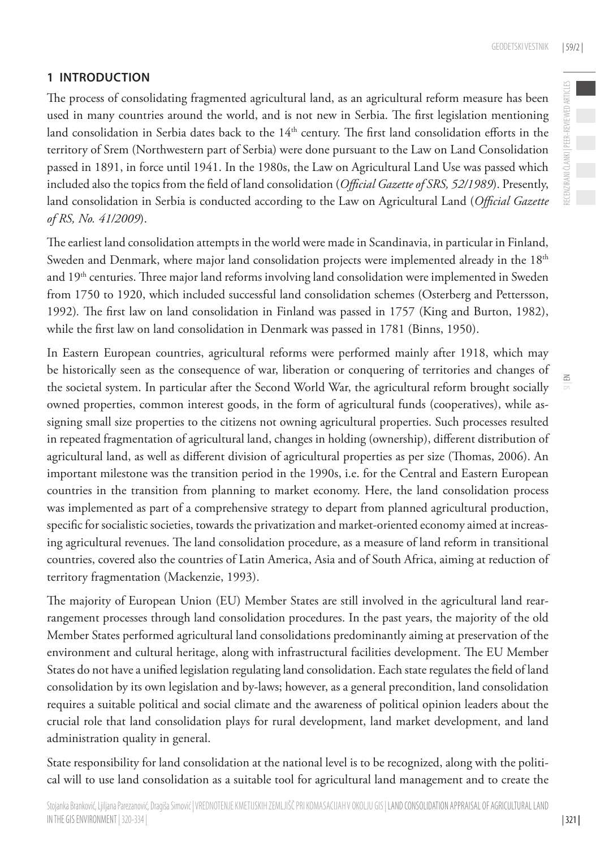$\leq$ 

# **1 INTRODUCTION**

The process of consolidating fragmented agricultural land, as an agricultural reform measure has been used in many countries around the world, and is not new in Serbia. The first legislation mentioning land consolidation in Serbia dates back to the 14<sup>th</sup> century. The first land consolidation efforts in the territory of Srem (Northwestern part of Serbia) were done pursuant to the Law on Land Consolidation passed in 1891, in force until 1941. In the 1980s, the Law on Agricultural Land Use was passed which included also the topics from the field of land consolidation (*Official Gazette of SRS, 52/1989*). Presently, land consolidation in Serbia is conducted according to the Law on Agricultural Land (*Official Gazette of RS, No. 41/2009*).

The earliest land consolidation attempts in the world were made in Scandinavia, in particular in Finland, Sweden and Denmark, where major land consolidation projects were implemented already in the 18<sup>th</sup> and 19<sup>th</sup> centuries. Three major land reforms involving land consolidation were implemented in Sweden from 1750 to 1920, which included successful land consolidation schemes (Osterberg and Pettersson, 1992)*.* The first law on land consolidation in Finland was passed in 1757 (King and Burton, 1982), while the first law on land consolidation in Denmark was passed in 1781 (Binns, 1950).

In Eastern European countries, agricultural reforms were performed mainly after 1918, which may be historically seen as the consequence of war, liberation or conquering of territories and changes of the societal system. In particular after the Second World War, the agricultural reform brought socially owned properties, common interest goods, in the form of agricultural funds (cooperatives), while assigning small size properties to the citizens not owning agricultural properties. Such processes resulted in repeated fragmentation of agricultural land, changes in holding (ownership), different distribution of agricultural land, as well as different division of agricultural properties as per size (Thomas, 2006). An important milestone was the transition period in the 1990s, i.e. for the Central and Eastern European countries in the transition from planning to market economy. Here, the land consolidation process was implemented as part of a comprehensive strategy to depart from planned agricultural production, specific for socialistic societies, towards the privatization and market-oriented economy aimed at increasing agricultural revenues. The land consolidation procedure, as a measure of land reform in transitional countries, covered also the countries of Latin America, Asia and of South Africa, aiming at reduction of territory fragmentation (Mackenzie, 1993).

The majority of European Union (EU) Member States are still involved in the agricultural land rearrangement processes through land consolidation procedures. In the past years, the majority of the old Member States performed agricultural land consolidations predominantly aiming at preservation of the environment and cultural heritage, along with infrastructural facilities development. The EU Member States do not have a unified legislation regulating land consolidation. Each state regulates the field of land consolidation by its own legislation and by-laws; however, as a general precondition, land consolidation requires a suitable political and social climate and the awareness of political opinion leaders about the crucial role that land consolidation plays for rural development, land market development, and land administration quality in general.

State responsibility for land consolidation at the national level is to be recognized, along with the political will to use land consolidation as a suitable tool for agricultural land management and to create the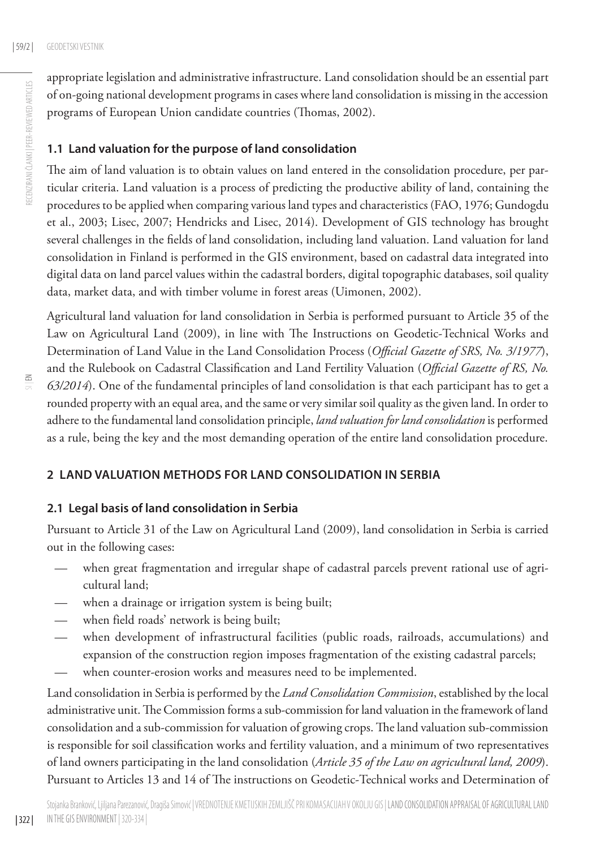appropriate legislation and administrative infrastructure. Land consolidation should be an essential part of on-going national development programs in cases where land consolidation is missing in the accession programs of European Union candidate countries (Thomas, 2002).

## **1.1 Land valuation for the purpose of land consolidation**

The aim of land valuation is to obtain values on land entered in the consolidation procedure, per particular criteria. Land valuation is a process of predicting the productive ability of land, containing the procedures to be applied when comparing various land types and characteristics (FAO, 1976; Gundogdu et al., 2003; Lisec, 2007; Hendricks and Lisec, 2014). Development of GIS technology has brought several challenges in the fields of land consolidation, including land valuation. Land valuation for land consolidation in Finland is performed in the GIS environment, based on cadastral data integrated into digital data on land parcel values within the cadastral borders, digital topographic databases, soil quality data, market data, and with timber volume in forest areas (Uimonen, 2002).

Agricultural land valuation for land consolidation in Serbia is performed pursuant to Article 35 of the Law on Agricultural Land (2009), in line with The Instructions on Geodetic-Technical Works and Determination of Land Value in the Land Consolidation Process (*Official Gazette of SRS, No. 3/1977*), and the Rulebook on Cadastral Classification and Land Fertility Valuation (*Official Gazette of RS, No. 63/2014*). One of the fundamental principles of land consolidation is that each participant has to get a rounded property with an equal area, and the same or very similar soil quality as the given land. In order to adhere to the fundamental land consolidation principle, *land valuation for land consolidation* is performed as a rule, being the key and the most demanding operation of the entire land consolidation procedure.

# **2 LAND VALUA TION METHODS FOR LAND CONSOLIDATION IN SERBIA**

# **2.1 Legal basis of land consolidation in Serbia**

Pursuant to Article 31 of the Law on Agricultural Land (2009), land consolidation in Serbia is carried out in the following cases:

- when great fragmentation and irregular shape of cadastral parcels prevent rational use of agricultural land;
- when a drainage or irrigation system is being built;
- when field roads' network is being built;
- when development of infrastructural facilities (public roads, railroads, accumulations) and expansion of the construction region imposes fragmentation of the existing cadastral parcels;
- when counter-erosion works and measures need to be implemented.

Land consolidation in Serbia is performed by the *Land Consolidation Commission*, established by the local administrative unit. The Commission forms a sub-commission for land valuation in the framework of land consolidation and a sub-commission for valuation of growing crops. The land valuation sub-commission is responsible for soil classification works and fertility valuation, and a minimum of two representatives of land owners participating in the land consolidation (*Article 35 of the Law on agricultural land, 2009*). Pursuant to Articles 13 and 14 of The instructions on Geodetic-Technical works and Determination of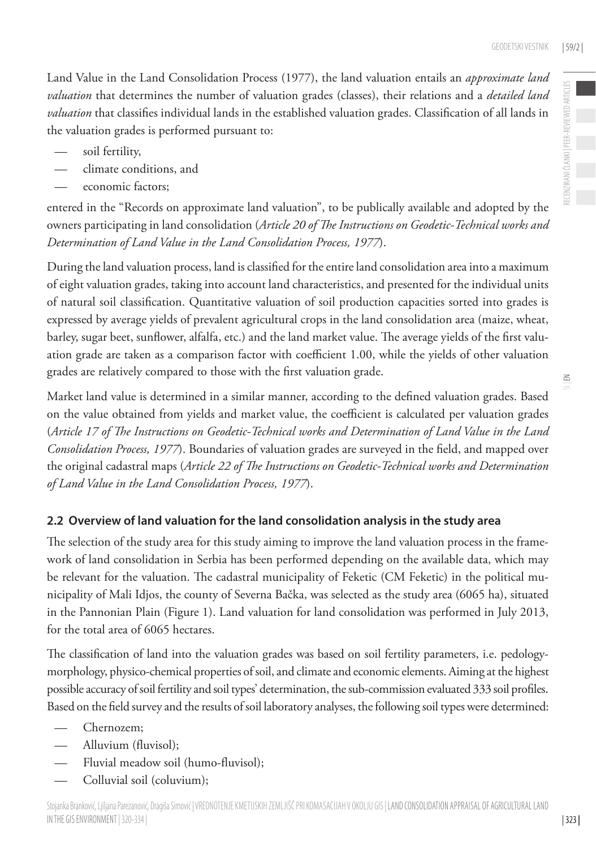Land Value in the Land Consolidation Process (1977), the land valuation entails an *approximate land valuation* that determines the number of valuation grades (classes), their relations and a *detailed land valuation* that classifies individual lands in the established valuation grades. Classification of all lands in the valuation grades is performed pursuant to:

- soil fertility,
- climate conditions, and
- economic factors;

entered in the "Records on approximate land valuation", to be publically available and adopted by the owners participating in land consolidation (*Article 20 of The Instructions on Geodetic-Technical works and Determination of Land Value in the Land Consolidation Process, 1977*).

During the land valuation process, land is classified for the entire land consolidation area into a maximum of eight valuation grades, taking into account land characteristics, and presented for the individual units of natural soil classification. Quantitative valuation of soil production capacities sorted into grades is expressed by average yields of prevalent agricultural crops in the land consolidation area (maize, wheat, barley, sugar beet, sunflower, alfalfa, etc.) and the land market value. The average yields of the first valuation grade are taken as a comparison factor with coefficient 1.00, while the yields of other valuation grades are relatively compared to those with the first valuation grade.

Market land value is determined in a similar manner, according to the defined valuation grades. Based on the value obtained from yields and market value, the coefficient is calculated per valuation grades (*Article 17 of The Instructions on Geodetic-Technical works and Determination of Land Value in the Land Consolidation Process, 1977*). Boundaries of valuation grades are surveyed in the field, and mapped over the original cadastral maps (*Article 22 of The Instructions on Geodetic-Technical works and Determination of Land Value in the Land Consolidation Process, 1977*).

## **2.2 Overview of land valuation for the land consolidation analysis in the study area**

The selection of the study area for this study aiming to improve the land valuation process in the framework of land consolidation in Serbia has been performed depending on the available data, which may be relevant for the valuation. The cadastral municipality of Feketic (CM Feketic) in the political municipality of Mali Idjos, the county of Severna Bačka, was selected as the study area (6065 ha), situated in the Pannonian Plain (Figure 1). Land valuation for land consolidation was performed in July 2013, for the total area of 6065 hectares.

The classification of land into the valuation grades was based on soil fertility parameters, i.e. pedologymorphology, physico-chemical properties of soil, and climate and economic elements. Aiming at the highest possible accuracy of soil fertility and soil types' determination, the sub-commission evaluated 333 soil profiles. Based on the field survey and the results of soil laboratory analyses, the following soil types were determined:

- Chernozem;
- Alluvium (fluvisol);
- Fluvial meadow soil (humo-fluvisol);
- Colluvial soil (coluvium);

| 323 |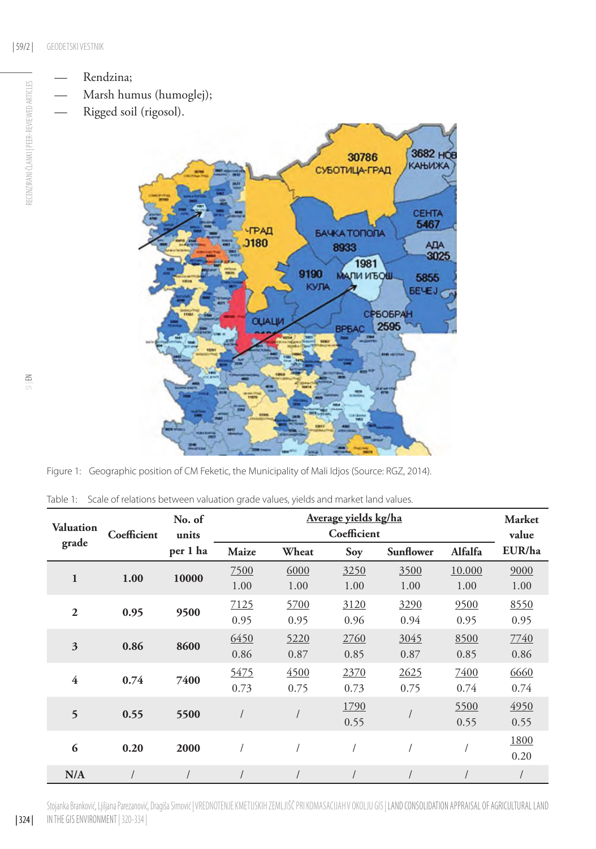RECENZIRANI ČLANKI | PEER-REVIEWED ARTICLES

- Marsh humus (humoglej);
- Rigged soil (rigosol).



Figure 1: Geographic position of CM Feketic, the Municipality of Mali Idjos (Source: RGZ, 2014).

Table 1: Scale of relations between valuation grade values, yields and market land values.

| <b>Valuation</b> | Coefficient | No. of<br>units | Average yields kg/ha<br>Coefficient |       |      |                  |         | <b>Market</b><br>value |
|------------------|-------------|-----------------|-------------------------------------|-------|------|------------------|---------|------------------------|
| grade            |             | per 1 ha        | Maize                               | Wheat | Soy  | <b>Sunflower</b> | Alfalfa | EUR/ha                 |
| $\mathbf{1}$     | 1.00        | 10000           | 7500                                | 6000  | 3250 | 3500             | 10.000  | 9000                   |
|                  |             |                 | 1.00                                | 1.00  | 1.00 | 1.00             | 1.00    | 1.00                   |
| $\overline{2}$   | 0.95        | 9500            | 7125                                | 5700  | 3120 | 3290             | 9500    | 8550                   |
|                  |             |                 | 0.95                                | 0.95  | 0.96 | 0.94             | 0.95    | 0.95                   |
| $\mathfrak{Z}$   | 0.86        | 8600            | 6450                                | 5220  | 2760 | 3045             | 8500    | 7740                   |
|                  |             |                 | 0.86                                | 0.87  | 0.85 | 0.87             | 0.85    | 0.86                   |
| $\overline{4}$   | 0.74        | 7400            | 5475                                | 4500  | 2370 | 2625             | 7400    | 6660                   |
|                  |             |                 | 0.73                                | 0.75  | 0.73 | 0.75             | 0.74    | 0.74                   |
| 5                | 0.55        | 5500            |                                     |       | 1790 |                  | 5500    | 4950                   |
|                  |             |                 |                                     |       | 0.55 |                  | 0.55    | 0.55                   |
| 6                | 0.20        | 2000            |                                     |       |      |                  |         | 1800                   |
|                  |             |                 |                                     |       |      |                  |         | 0.20                   |
| N/A              |             |                 |                                     |       |      |                  |         |                        |

Stojanka Branković, Ljiljana Parezanović, Dragiša Simović | VREDNOTENJE KMETIJSKIH ZEMLJIŠČ PRI KOMASACIJAH V OKOLJU GIS | LAND CONSOLIDATION APPRAISAL OF AGRICULTURAL LAND in the GIS environment | 320-334 |

| 324 |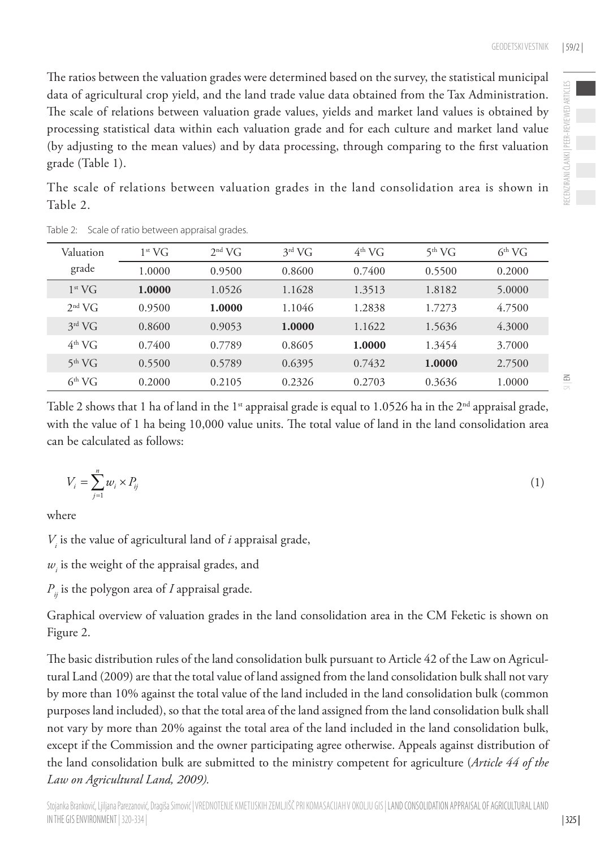The ratios between the valuation grades were determined based on the survey, the statistical municipal data of agricultural crop yield, and the land trade value data obtained from the Tax Administration. The scale of relations between valuation grade values, yields and market land values is obtained by processing statistical data within each valuation grade and for each culture and market land value (by adjusting to the mean values) and by data processing, through comparing to the first valuation grade (Table 1).

The scale of relations between valuation grades in the land consolidation area is shown in Table 2.

|  | Valuation          | $1^{st} VG$ | $2nd$ VG | $3^{\rm rd}$ VG | $4th$ VG | $5^{th}$ VG | $6th$ VG |
|--|--------------------|-------------|----------|-----------------|----------|-------------|----------|
|  | grade              | 1.0000      | 0.9500   | 0.8600          | 0.7400   | 0.5500      | 0.2000   |
|  | $1^{st} VG$        | 1.0000      | 1.0526   | 1.1628          | 1.3513   | 1.8182      | 5.0000   |
|  | $2nd$ VG           | 0.9500      | 1.0000   | 1.1046          | 1.2838   | 1.7273      | 4.7500   |
|  | $3rd$ VG           | 0.8600      | 0.9053   | 1.0000          | 1.1622   | 1.5636      | 4.3000   |
|  | $4^{th}$ VG        | 0.7400      | 0.7789   | 0.8605          | 1.0000   | 1.3454      | 3.7000   |
|  | 5 <sup>th</sup> VG | 0.5500      | 0.5789   | 0.6395          | 0.7432   | 1.0000      | 2.7500   |
|  | 6 <sup>th</sup> VG | 0.2000      | 0.2105   | 0.2326          | 0.2703   | 0.3636      | 1.0000   |

Table 2: Scale of ratio between appraisal grades.

Table 2 shows that 1 ha of land in the 1<sup>st</sup> appraisal grade is equal to 1.0526 ha in the  $2<sup>nd</sup>$  appraisal grade, with the value of 1 ha being 10,000 value units. The total value of land in the land consolidation area can be calculated as follows:

$$
V_i = \sum_{j=1}^n w_i \times P_{ij} \tag{1}
$$

where

 $V_i$  is the value of agricultural land of  $i$  appraisal grade,

 $w_i$  is the weight of the appraisal grades, and

*Pij* is the polygon area of *I* appraisal grade.

Graphical overview of valuation grades in the land consolidation area in the CM Feketic is shown on Figure 2.

The basic distribution rules of the land consolidation bulk pursuant to Article 42 of the Law on Agricultural Land (2009) are that the total value of land assigned from the land consolidation bulk shall not vary by more than 10% against the total value of the land included in the land consolidation bulk (common purposes land included), so that the total area of the land assigned from the land consolidation bulk shall not vary by more than 20% against the total area of the land included in the land consolidation bulk, except if the Commission and the owner participating agree otherwise. Appeals against distribution of the land consolidation bulk are submitted to the ministry competent for agriculture (*Article 44 of the Law on Agricultural Land, 2009).*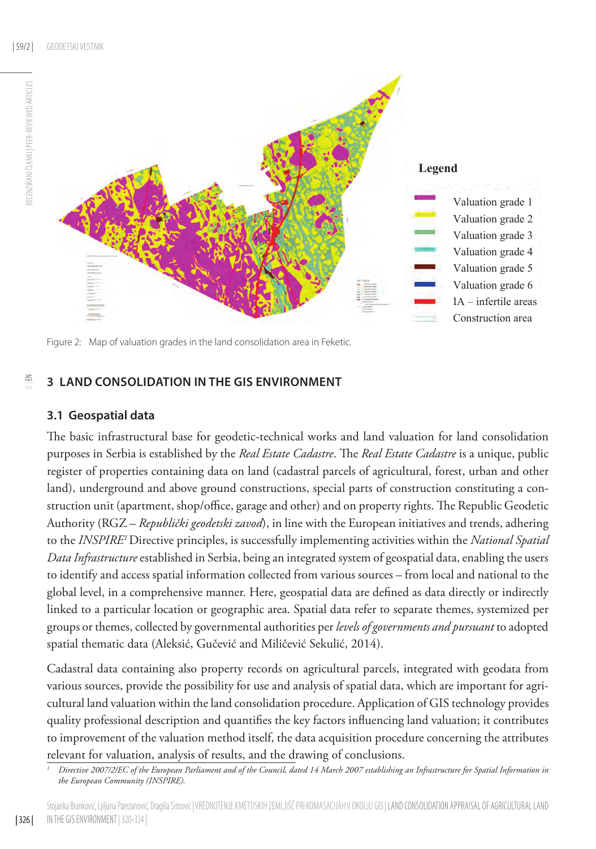

Figure 2: Map of valuation grades in the land consolidation area in Feketic.

## **3 LAND CONSOLIDATION IN THE GIS ENVIRONMENT**

### **3.1 Geospatial data**

The basic infrastructural base for geodetic-technical works and land valuation for land consolidation purposes in Serbia is established by the *Real Estate Cadastre*. The *Real Estate Cadastre* is a unique, public register of properties containing data on land (cadastral parcels of agricultural, forest, urban and other land), underground and above ground constructions, special parts of construction constituting a construction unit (apartment, shop/office, garage and other) and on property rights. The Republic Geodetic Authority (RGZ – *Republički geodetski zavod*), in line with the European initiatives and trends, adhering to the *INSPIRE1* Directive principles, is successfully implementing activities within the *National Spatial Data Infrastructure* established in Serbia, being an integrated system of geospatial data, enabling the users to identify and access spatial information collected from various sources – from local and national to the global level, in a comprehensive manner. Here, geospatial data are defined as data directly or indirectly linked to a particular location or geographic area. Spatial data refer to separate themes, systemized per groups or themes, collected by governmental authorities per *levels of governments and pursuant* to adopted spatial thematic data (Aleksić, Gučević and Miličević Sekulić, 2014).

Cadastral data containing also property records on agricultural parcels, integrated with geodata from various sources, provide the possibility for use and analysis of spatial data, which are important for agricultural land valuation within the land consolidation procedure. Application of GIS technology provides quality professional description and quantifies the key factors influencing land valuation; it contributes to improvement of the valuation method itself, the data acquisition procedure concerning the attributes relevant for valuation, analysis of results, and the drawing of conclusions.

 $\frac{6}{5}$ 

RECENZIRANI ČLANKI | PEER-REVIEWED ARTICLES

RECENZIRANI ČLANKI | PEER-REVIEWED ARTICLES

*<sup>1</sup> Directive 2007/2/EC of the European Parliament and of the Council, dated 14 March 2007 establishing an Infrastructure for Spatial Information in the European Community (INSPIRE).*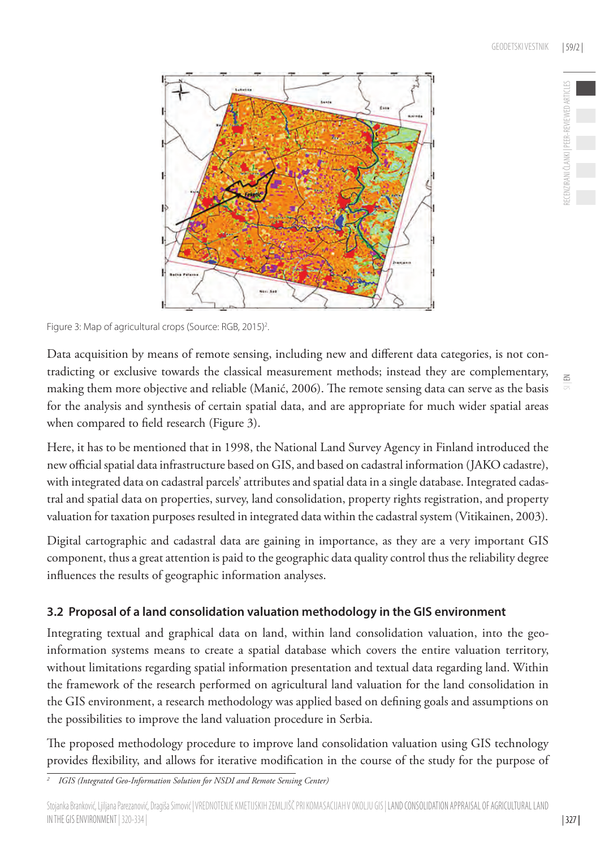ECENZIRANI ČLANKI I PEER-REVIEWED ARTICLE

 $\leq$ 



Figure 3: Map of agricultural crops (Source: RGB, 2015)<sup>2</sup>. .

Data acquisition by means of remote sensing, including new and different data categories, is not contradicting or exclusive towards the classical measurement methods; instead they are complementary, making them more objective and reliable (Manić, 2006). The remote sensing data can serve as the basis for the analysis and synthesis of certain spatial data, and are appropriate for much wider spatial areas when compared to field research (Figure 3).

Here, it has to be mentioned that in 1998, the National Land Survey Agency in Finland introduced the new official spatial data infrastructure based on GIS, and based on cadastral information (JAKO cadastre), with integrated data on cadastral parcels' attributes and spatial data in a single database. Integrated cadastral and spatial data on properties, survey, land consolidation, property rights registration, and property valuation for taxation purposes resulted in integrated data within the cadastral system (Vitikainen, 2003).

Digital cartographic and cadastral data are gaining in importance, as they are a very important GIS component, thus a great attention is paid to the geographic data quality control thus the reliability degree influences the results of geographic information analyses.

# **3.2 Proposal of a land consolidation valuation methodology in the GIS environment**

Integrating textual and graphical data on land, within land consolidation valuation, into the geoinformation systems means to create a spatial database which covers the entire valuation territory, without limitations regarding spatial information presentation and textual data regarding land. Within the framework of the research performed on agricultural land valuation for the land consolidation in the GIS environment, a research methodology was applied based on defining goals and assumptions on the possibilities to improve the land valuation procedure in Serbia.

The proposed methodology procedure to improve land consolidation valuation using GIS technology provides flexibility, and allows for iterative modification in the course of the study for the purpose of

*<sup>2</sup> IGIS (Integrated Geo-Information Solution for NSDI and Remote Sensing Center)*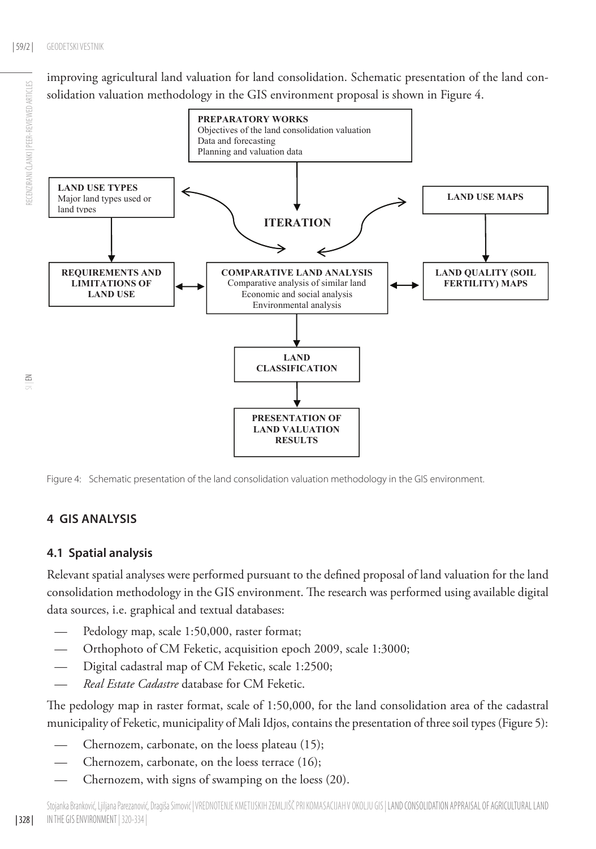RECENZIRANI ČLANKI | PEER-REVIEWED ARTICLES

improving agricultural land valuation for land consolidation. Schematic presentation of the land consolidation valuation methodology in the GIS environment proposal is shown in Figure 4.



Figure 4: Schematic presentation of the land consolidation valuation methodology in the GIS environment.

# **4 GIS ANALYSIS**

## **4.1 Spatial analysis**

Relevant spatial analyses were performed pursuant to the defined proposal of land valuation for the land consolidation methodology in the GIS environment. The research was performed using available digital data sources, i.e. graphical and textual databases:

- Pedology map, scale 1:50,000, raster format;
- Orthophoto of CM Feketic, acquisition epoch 2009, scale 1:3000;
- Digital cadastral map of CM Feketic, scale 1:2500;
- *Real Estate Cadastre* database for CM Feketic.

The pedology map in raster format, scale of 1:50,000, for the land consolidation area of the cadastral municipality of Feketic, municipality of Mali Idjos, contains the presentation of three soil types (Figure 5):

- Chernozem, carbonate, on the loess plateau (15);
- Chernozem, carbonate, on the loess terrace (16);
- Chernozem, with signs of swamping on the loess (20).

 $\leq$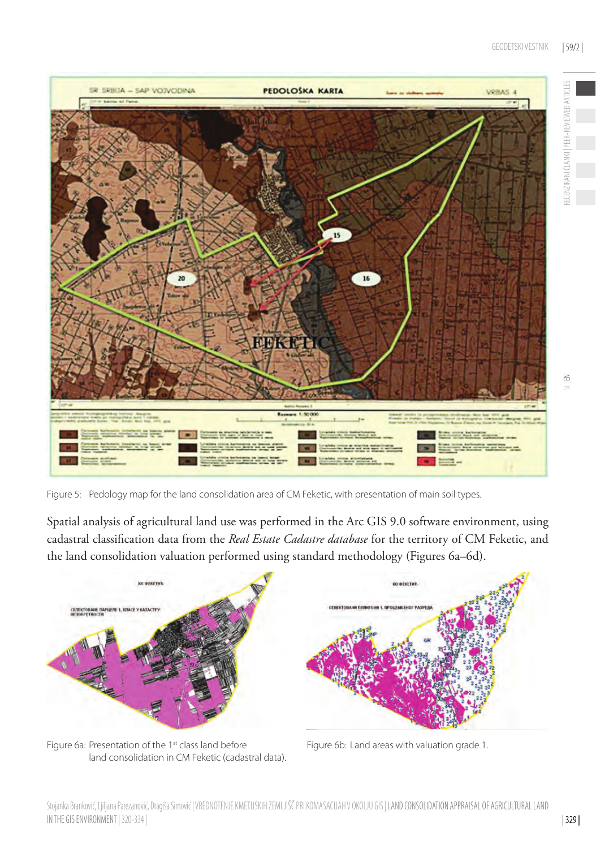

Figure 5: Pedology map for the land consolidation area of CM Feketic, with presentation of main soil types.

Spatial analysis of agricultural land use was performed in the Arc GIS 9.0 software environment, using cadastral classification data from the *Real Estate Cadastre database* for the territory of CM Feketic, and the land consolidation valuation performed using standard methodology (Figures 6a–6d).



Figure 6a: Presentation of the 1<sup>st</sup> class land before Figure 6b: Land areas with valuation grade 1. land consolidation in CM Feketic (cadastral data).

RECENZIRANI ČLANKI | PEER-REVIEWED ARTICLES

IECENZIRANI ČLANKI | PEER-REVIEWED ARTICLES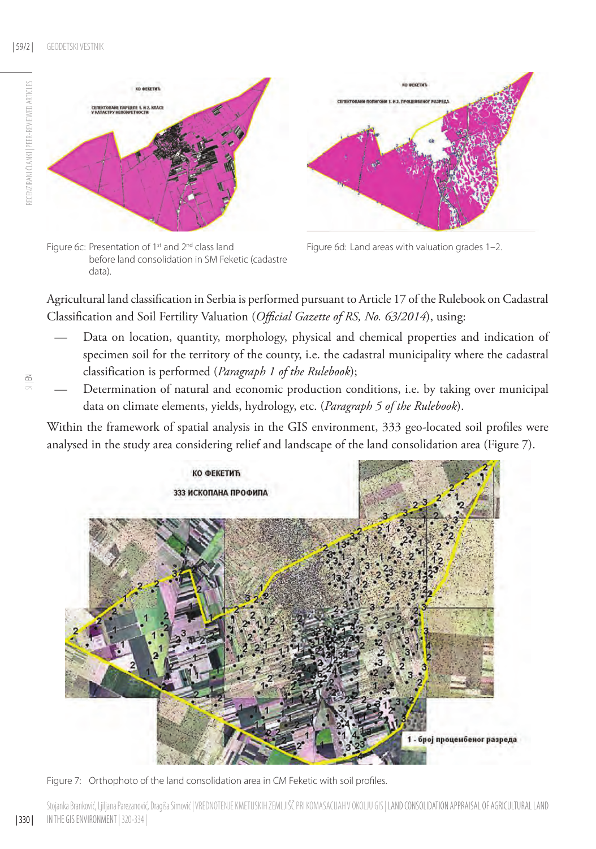

Figure 6c: Presentation of 1<sup>st</sup> and 2<sup>nd</sup> class land Figure 6d: Land areas with valuation grades 1–2. before land consolidation in SM Feketic (cadastre data).



Agricultural land classification in Serbia is performed pursuant to Article 17 of the Rulebook on Cadastral Classification and Soil Fertility Valuation (*Official Gazette of RS, No. 63/2014*), using:

- Data on location, quantity, morphology, physical and chemical properties and indication of specimen soil for the territory of the county, i.e. the cadastral municipality where the cadastral classification is performed (*Paragraph 1 of the Rulebook*);
- Determination of natural and economic production conditions, i.e. by taking over municipal data on climate elements, yields, hydrology, etc. (*Paragraph 5 of the Rulebook*).

Within the framework of spatial analysis in the GIS environment, 333 geo-located soil profiles were analysed in the study area considering relief and landscape of the land consolidation area (Figure 7).



Figure 7: Orthophoto of the land consolidation area in CM Feketic with soil profiles.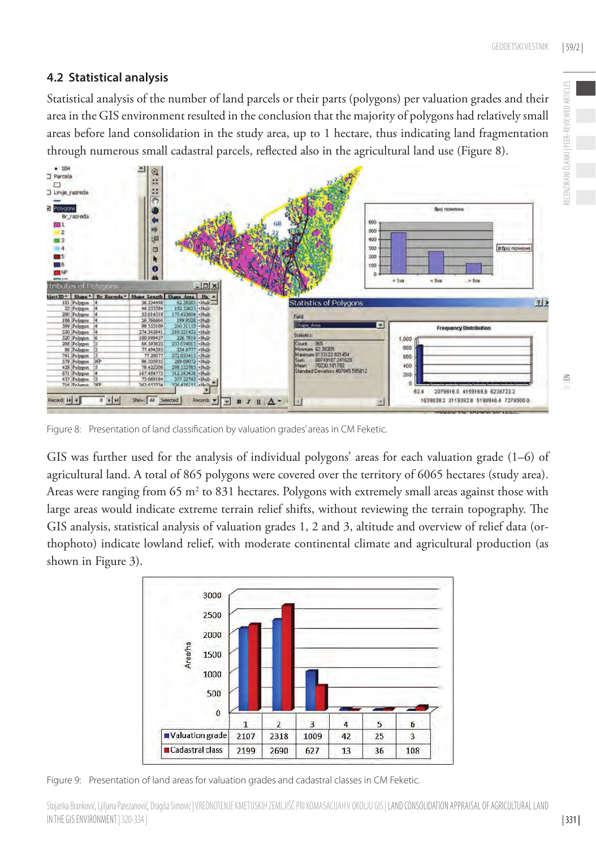# **4.2 Statistical analysis**

Statistical analysis of the number of land parcels or their parts (polygons) per valuation grades and their area in the GIS environment resulted in the conclusion that the majority of polygons had relatively small areas before land consolidation in the study area, up to 1 hectare, thus indicating land fragmentation through numerous small cadastral parcels, reflected also in the agricultural land use (Figure 8).



Figure 8: Presentation of land classification by valuation grades' areas in CM Feketic.

GIS was further used for the analysis of individual polygons' areas for each valuation grade (1–6) of agricultural land. A total of 865 polygons were covered over the territory of 6065 hectares (study area). Areas were ranging from  $65 \text{ m}^2$  to  $831$  hectares. Polygons with extremely small areas against those with large areas would indicate extreme terrain relief shifts, without reviewing the terrain topography. The GIS analysis, statistical analysis of valuation grades 1, 2 and 3, altitude and overview of relief data (orthophoto) indicate lowland relief, with moderate continental climate and agricultural production (as shown in Figure 3).



Figure 9: Presentation of land areas for valuation grades and cadastral classes in CM Feketic.

Stojanka Branković, Ljiljana Parezanović, Dragiša Simović | VREDNOTENJE KMETIJSKIH ZEMLJIŠČ PRI KOMASACIJAH V OKOLJU GIS | LAND CONSOLIDATION APPRAISAL OF AGRICULTURAL LAND in the GIS environment | 320-334 |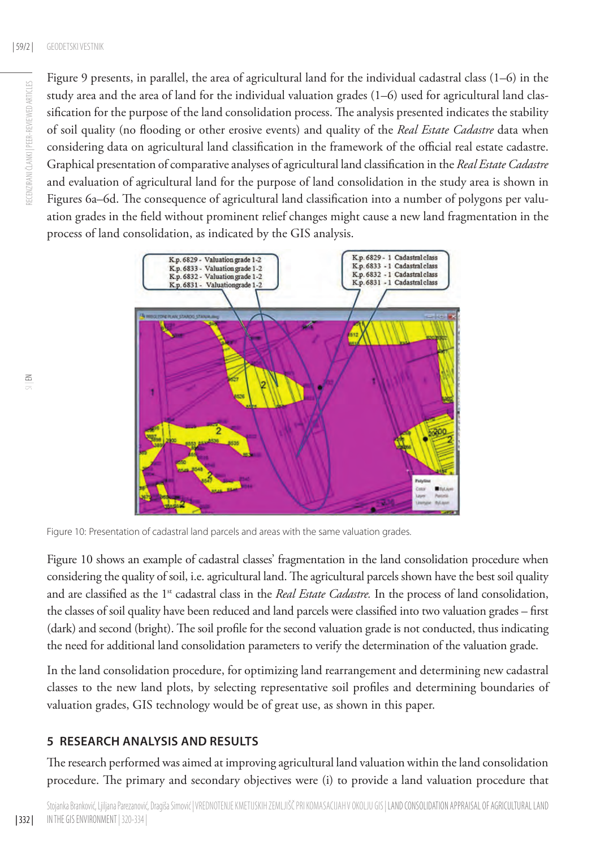Figure 9 presents, in parallel, the area of agricultural land for the individual cadastral class (1–6) in the study area and the area of land for the individual valuation grades (1–6) used for agricultural land classification for the purpose of the land consolidation process. The analysis presented indicates the stability of soil quality (no flooding or other erosive events) and quality of the *Real Estate Cadastre* data when considering data on agricultural land classification in the framework of the official real estate cadastre. Graphical presentation of comparative analyses of agricultural land classification in the *Real Estate Cadastre* and evaluation of agricultural land for the purpose of land consolidation in the study area is shown in Figures 6a–6d. The consequence of agricultural land classification into a number of polygons per valuation grades in the field without prominent relief changes might cause a new land fragmentation in the process of land consolidation, as indicated by the GIS analysis.



Figure 10: Presentation of cadastral land parcels and areas with the same valuation grades.

Figure 10 shows an example of cadastral classes' fragmentation in the land consolidation procedure when considering the quality of soil, i.e. agricultural land. The agricultural parcels shown have the best soil quality and are classified as the 1<sup>st</sup> cadastral class in the *Real Estate Cadastre*. In the process of land consolidation, the classes of soil quality have been reduced and land parcels were classified into two valuation grades – first (dark) and second (bright). The soil profile for the second valuation grade is not conducted, thus indicating the need for additional land consolidation parameters to verify the determination of the valuation grade.

In the land consolidation procedure, for optimizing land rearrangement and determining new cadastral classes to the new land plots, by selecting representative soil profiles and determining boundaries of valuation grades, GIS technology would be of great use, as shown in this paper.

## **5 RESEARCH ANALYSIS AND RESULTS**

The research performed was aimed at improving agricultural land valuation within the land consolidation procedure. The primary and secondary objectives were (i) to provide a land valuation procedure that

 $\leq$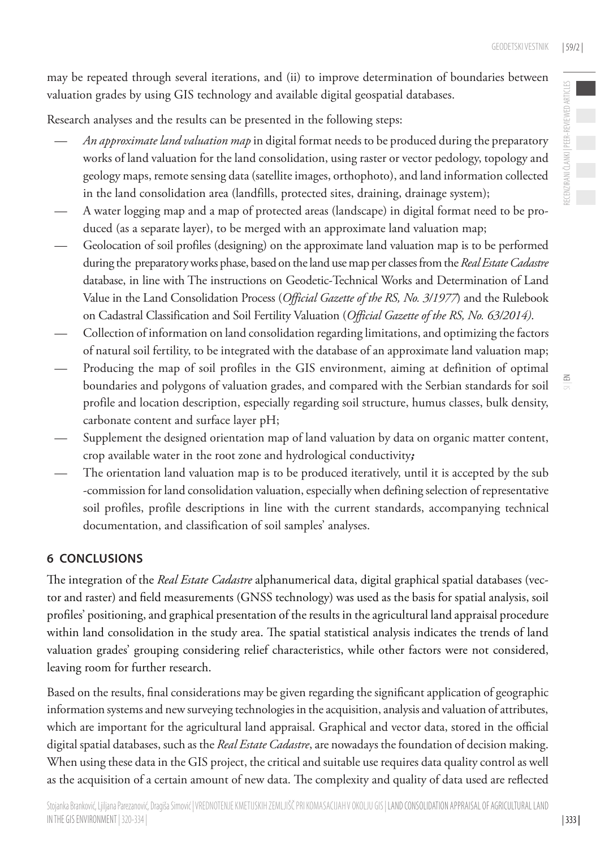RECENZIRANI ČLANKI | PEER-REVIEWED ARTICLES

may be repeated through several iterations, and (ii) to improve determination of boundaries between valuation grades by using GIS technology and available digital geospatial databases.

Research analyses and the results can be presented in the following steps:

- *An approximate land valuation map* in digital format needs to be produced during the preparatory works of land valuation for the land consolidation, using raster or vector pedology, topology and geology maps, remote sensing data (satellite images, orthophoto), and land information collected in the land consolidation area (landfills, protected sites, draining, drainage system);
- A water logging map and a map of protected areas (landscape) in digital format need to be produced (as a separate layer), to be merged with an approximate land valuation map;
- Geolocation of soil profiles (designing) on the approximate land valuation map is to be performed during the preparatory works phase, based on the land use map per classes from the *Real Estate Cadastre*  database, in line with The instructions on Geodetic-Technical Works and Determination of Land Value in the Land Consolidation Process (*Official Gazette of the RS, No. 3/1977*) and the Rulebook on Cadastral Classification and Soil Fertility Valuation (*Official Gazette of the RS, No. 63/2014)*.
- Collection of information on land consolidation regarding limitations, and optimizing the factors of natural soil fertility, to be integrated with the database of an approximate land valuation map;
- Producing the map of soil profiles in the GIS environment, aiming at definition of optimal boundaries and polygons of valuation grades, and compared with the Serbian standards for soil profile and location description, especially regarding soil structure, humus classes, bulk density, carbonate content and surface layer pH;
- Supplement the designed orientation map of land valuation by data on organic matter content, crop available water in the root zone and hydrological conductivity*;*
- The orientation land valuation map is to be produced iteratively, until it is accepted by the sub -commission for land consolidation valuation, especially when defining selection of representative soil profiles, profile descriptions in line with the current standards, accompanying technical documentation, and classification of soil samples' analyses.

# **6 CONCLUSIONS**

The integration of the *Real Estate Cadastre* alphanumerical data, digital graphical spatial databases (vector and raster) and field measurements (GNSS technology) was used as the basis for spatial analysis, soil profiles' positioning, and graphical presentation of the results in the agricultural land appraisal procedure within land consolidation in the study area. The spatial statistical analysis indicates the trends of land valuation grades' grouping considering relief characteristics, while other factors were not considered, leaving room for further research.

Based on the results, final considerations may be given regarding the significant application of geographic information systems and new surveying technologies in the acquisition, analysis and valuation of attributes, which are important for the agricultural land appraisal. Graphical and vector data, stored in the official digital spatial databases, such as the *Real Estate Cadastre*, are nowadays the foundation of decision making. When using these data in the GIS project, the critical and suitable use requires data quality control as well as the acquisition of a certain amount of new data. The complexity and quality of data used are reflected

| 333 |